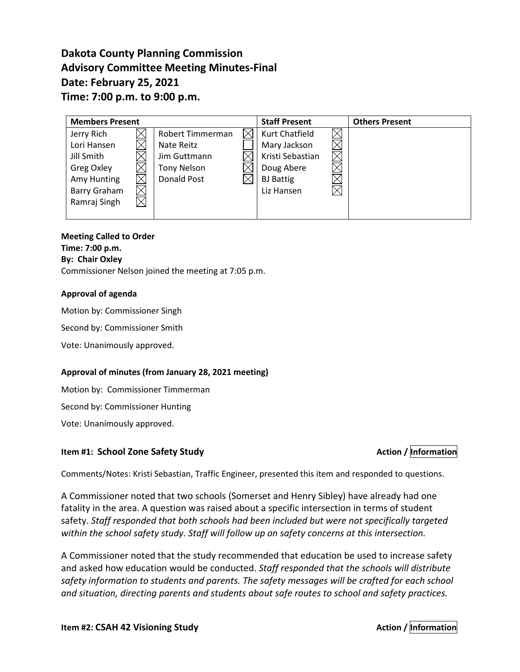# **Dakota County Planning Commission Advisory Committee Meeting Minutes-Final Date: February 25, 2021 Time: 7:00 p.m. to 9:00 p.m.**

| <b>Members Present</b> |  |                    |  | <b>Staff Present</b> | <b>Others Present</b> |
|------------------------|--|--------------------|--|----------------------|-----------------------|
| Jerry Rich             |  | Robert Timmerman   |  | Kurt Chatfield       |                       |
| Lori Hansen            |  | Nate Reitz         |  | Mary Jackson         |                       |
| Jill Smith             |  | Jim Guttmann       |  | Kristi Sebastian     |                       |
| Greg Oxley             |  | <b>Tony Nelson</b> |  | Doug Abere           |                       |
| Amy Hunting            |  | <b>Donald Post</b> |  | <b>BJ</b> Battig     |                       |
| Barry Graham           |  |                    |  | Liz Hansen           |                       |
| Ramraj Singh           |  |                    |  |                      |                       |
|                        |  |                    |  |                      |                       |

#### **Meeting Called to Order Time: 7:00 p.m. By: Chair Oxley**

Commissioner Nelson joined the meeting at 7:05 p.m.

### **Approval of agenda**

Motion by: Commissioner Singh

Second by: Commissioner Smith

Vote: Unanimously approved.

#### **Approval of minutes (from January 28, 2021 meeting)**

Motion by: Commissioner Timmerman

Second by: Commissioner Hunting

Vote: Unanimously approved.

# **Item #1: School Zone Safety Study Action Action** *Action Action Action Action Action Action Action*

Comments/Notes: Kristi Sebastian, Traffic Engineer, presented this item and responded to questions.

A Commissioner noted that two schools (Somerset and Henry Sibley) have already had one fatality in the area. A question was raised about a specific intersection in terms of student safety. *Staff responded that both schools had been included but were not specifically targeted within the school safety study. Staff will follow up on safety concerns at this intersection.*

A Commissioner noted that the study recommended that education be used to increase safety and asked how education would be conducted. *Staff responded that the schools will distribute safety information to students and parents. The safety messages will be crafted for each school and situation, directing parents and students about safe routes to school and safety practices.*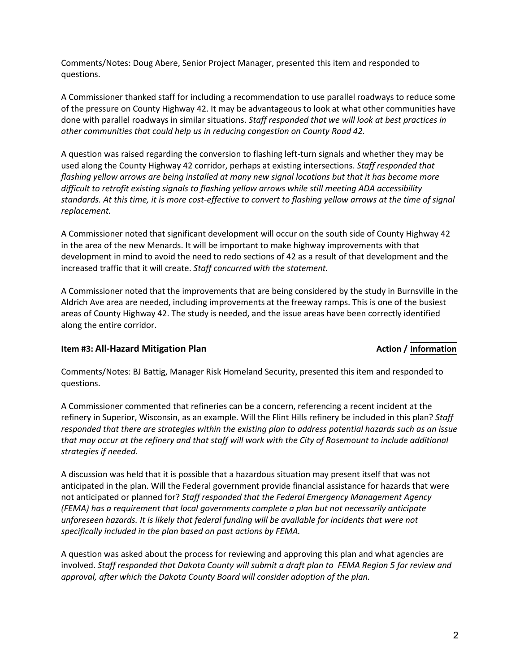Comments/Notes: Doug Abere, Senior Project Manager, presented this item and responded to questions.

A Commissioner thanked staff for including a recommendation to use parallel roadways to reduce some of the pressure on County Highway 42. It may be advantageous to look at what other communities have done with parallel roadways in similar situations. *Staff responded that we will look at best practices in other communities that could help us in reducing congestion on County Road 42.*

A question was raised regarding the conversion to flashing left-turn signals and whether they may be used along the County Highway 42 corridor, perhaps at existing intersections. *Staff responded that flashing yellow arrows are being installed at many new signal locations but that it has become more difficult to retrofit existing signals to flashing yellow arrows while still meeting ADA accessibility standards. At this time, it is more cost-effective to convert to flashing yellow arrows at the time of signal replacement.*

A Commissioner noted that significant development will occur on the south side of County Highway 42 in the area of the new Menards. It will be important to make highway improvements with that development in mind to avoid the need to redo sections of 42 as a result of that development and the increased traffic that it will create. *Staff concurred with the statement.*

A Commissioner noted that the improvements that are being considered by the study in Burnsville in the Aldrich Ave area are needed, including improvements at the freeway ramps. This is one of the busiest areas of County Highway 42. The study is needed, and the issue areas have been correctly identified along the entire corridor.

# **Item #3: All-Hazard Mitigation Plan** Action *Action*  $/$  *Information*

Comments/Notes: BJ Battig, Manager Risk Homeland Security, presented this item and responded to questions.

A Commissioner commented that refineries can be a concern, referencing a recent incident at the refinery in Superior, Wisconsin, as an example. Will the Flint Hills refinery be included in this plan? *Staff responded that there are strategies within the existing plan to address potential hazards such as an issue that may occur at the refinery and that staff will work with the City of Rosemount to include additional strategies if needed.*

A discussion was held that it is possible that a hazardous situation may present itself that was not anticipated in the plan. Will the Federal government provide financial assistance for hazards that were not anticipated or planned for? *Staff responded that the Federal Emergency Management Agency (FEMA) has a requirement that local governments complete a plan but not necessarily anticipate unforeseen hazards. It is likely that federal funding will be available for incidents that were not specifically included in the plan based on past actions by FEMA.* 

A question was asked about the process for reviewing and approving this plan and what agencies are involved. *Staff responded that Dakota County will submit a draft plan to FEMA Region 5 for review and approval, after which the Dakota County Board will consider adoption of the plan.*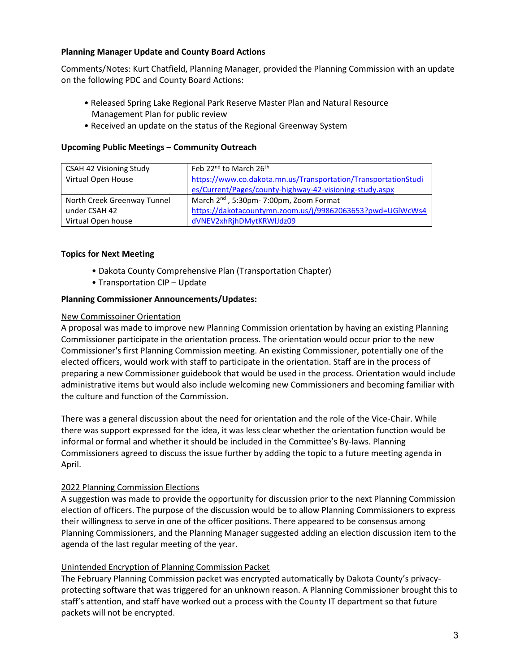#### **Planning Manager Update and County Board Actions**

Comments/Notes: Kurt Chatfield, Planning Manager, provided the Planning Commission with an update on the following PDC and County Board Actions:

- Released Spring Lake Regional Park Reserve Master Plan and Natural Resource Management Plan for public review
- Received an update on the status of the Regional Greenway System

#### **Upcoming Public Meetings – Community Outreach**

| <b>CSAH 42 Visioning Study</b> | Feb 22 <sup>nd</sup> to March 26 <sup>th</sup>                 |
|--------------------------------|----------------------------------------------------------------|
| Virtual Open House             | https://www.co.dakota.mn.us/Transportation/TransportationStudi |
|                                | es/Current/Pages/county-highway-42-visioning-study.aspx        |
| North Creek Greenway Tunnel    | March 2 <sup>nd</sup> , 5:30pm-7:00pm, Zoom Format             |
| under CSAH 42                  | https://dakotacountymn.zoom.us/j/99862063653?pwd=UGIWcWs4      |
| Virtual Open house             | dVNEV2xhRjhDMytKRWlJdz09                                       |

#### **Topics for Next Meeting**

- Dakota County Comprehensive Plan (Transportation Chapter)
- Transportation CIP Update

#### **Planning Commissioner Announcements/Updates:**

#### New Commissoiner Orientation

A proposal was made to improve new Planning Commission orientation by having an existing Planning Commissioner participate in the orientation process. The orientation would occur prior to the new Commissioner's first Planning Commission meeting. An existing Commissioner, potentially one of the elected officers, would work with staff to participate in the orientation. Staff are in the process of preparing a new Commissioner guidebook that would be used in the process. Orientation would include administrative items but would also include welcoming new Commissioners and becoming familiar with the culture and function of the Commission.

There was a general discussion about the need for orientation and the role of the Vice-Chair. While there was support expressed for the idea, it was less clear whether the orientation function would be informal or formal and whether it should be included in the Committee's By-laws. Planning Commissioners agreed to discuss the issue further by adding the topic to a future meeting agenda in April.

#### 2022 Planning Commission Elections

A suggestion was made to provide the opportunity for discussion prior to the next Planning Commission election of officers. The purpose of the discussion would be to allow Planning Commissioners to express their willingness to serve in one of the officer positions. There appeared to be consensus among Planning Commissioners, and the Planning Manager suggested adding an election discussion item to the agenda of the last regular meeting of the year.

#### Unintended Encryption of Planning Commission Packet

The February Planning Commission packet was encrypted automatically by Dakota County's privacyprotecting software that was triggered for an unknown reason. A Planning Commissioner brought this to staff's attention, and staff have worked out a process with the County IT department so that future packets will not be encrypted.